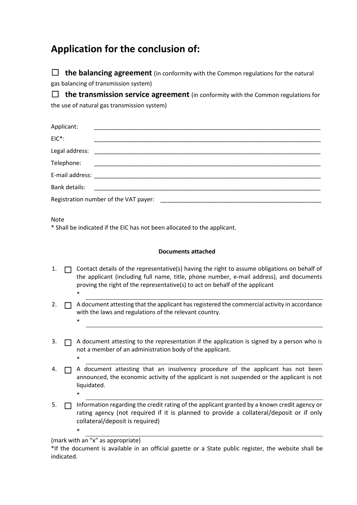## **Application for the conclusion of:**

 $\Box$  **the balancing agreement** (in conformity with the Common regulations for the natural gas balancing of transmission system)

 $\Box$  **the transmission service agreement** (in conformity with the Common regulations for the use of natural gas transmission system)

| Registration number of the VAT payer:<br><u> 2000 - 2000 - 2000 - 2000 - 2000 - 2000 - 2000 - 2000 - 2000 - 2000 - 2000 - 2000 - 2000 - 2000 - 2000 - 200</u> |  |  |  |  |
|---------------------------------------------------------------------------------------------------------------------------------------------------------------|--|--|--|--|
|                                                                                                                                                               |  |  |  |  |

Note

\*

\*

\*

\*

\* Shall be indicated if the EIC has not been allocated to the applicant.

## **Documents attached**

- 1.  $\Box$  Contact details of the representative(s) having the right to assume obligations on behalf of the applicant (including full name, title, phone number, e-mail address), and documents proving the right of the representative(s) to act on behalf of the applicant
- 2.  $\Box$  A document attesting that the applicant has registered the commercial activity in accordance with the laws and regulations of the relevant country. \*
- 3.  $\Box$  A document attesting to the representation if the application is signed by a person who is not a member of an administration body of the applicant.
- $4. \Box$  A document attesting that an insolvency procedure of the applicant has not been announced, the economic activity of the applicant is not suspended or the applicant is not liquidated.
- 5. ☐ Information regarding the credit rating of the applicant granted by a known credit agency or rating agency (not required if it is planned to provide a collateral/deposit or if only collateral/deposit is required)

<sup>(</sup>mark with an "x" as appropriate)

<sup>\*</sup>If the document is available in an official gazette or a State public register, the website shall be indicated.